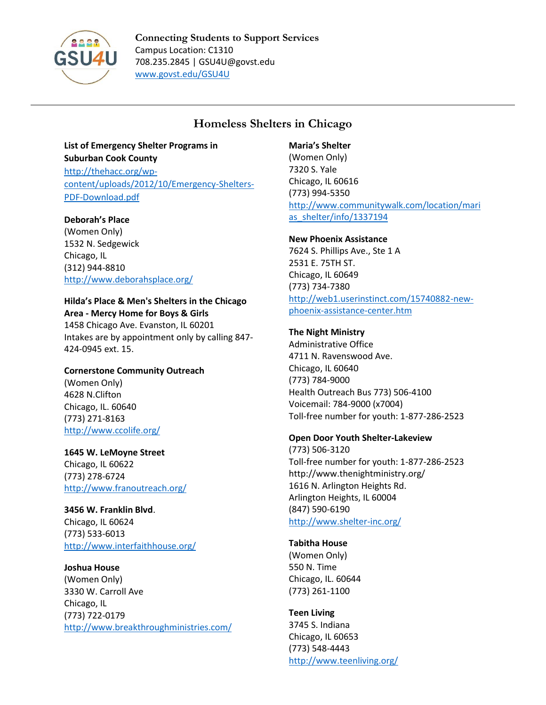

**Connecting Students to Support Services** Campus Location: C1310 708.235.2845 | GSU4U@govst.edu [www.govst.edu/GSU4U](http://www.govst.edu/GSU4U)

## **Homeless Shelters in Chicago**

# **List of Emergency Shelter Programs in Suburban Cook County**

[http://thehacc.org/wp](http://thehacc.org/wp-content/uploads/2012/10/Emergency-Shelters-PDF-Download.pdf)[content/uploads/2012/10/Emergency-Shelters-](http://thehacc.org/wp-content/uploads/2012/10/Emergency-Shelters-PDF-Download.pdf)[PDF-Download.pdf](http://thehacc.org/wp-content/uploads/2012/10/Emergency-Shelters-PDF-Download.pdf)

### **Deborah's Place**

(Women Only) 1532 N. Sedgewick Chicago, IL (312) 944-8810 <http://www.deborahsplace.org/>

#### **Hilda's Place & Men's Shelters in the Chicago Area - Mercy Home for Boys & Girls**

1458 Chicago Ave. Evanston, IL 60201 Intakes are by appointment only by calling 847- 424-0945 ext. 15.

#### **Cornerstone Community Outreach**

(Women Only) 4628 N.Clifton Chicago, IL. 60640 (773) 271-8163 <http://www.ccolife.org/>

#### **1645 W. LeMoyne Street** Chicago, IL 60622 (773) 278-6724 <http://www.franoutreach.org/>

#### **3456 W. Franklin Blvd**. Chicago, IL 60624

(773) 533-6013 <http://www.interfaithhouse.org/>

## **Joshua House**

(Women Only) 3330 W. Carroll Ave Chicago, IL (773) 722-0179 <http://www.breakthroughministries.com/>

#### **Maria's Shelter**

(Women Only) 7320 S. Yale Chicago, IL 60616 (773) 994-5350 [http://www.communitywalk.com/location/mari](http://www.communitywalk.com/location/marias_shelter/info/1337194) as shelter/info/1337194

#### **New Phoenix Assistance**

7624 S. Phillips Ave., Ste 1 A 2531 E. 75TH ST. Chicago, IL 60649 (773) 734-7380 [http://web1.userinstinct.com/15740882-new](http://web1.userinstinct.com/15740882-new-phoenix-assistance-center.htm)[phoenix-assistance-center.htm](http://web1.userinstinct.com/15740882-new-phoenix-assistance-center.htm)

#### **The Night Ministry**

Administrative Office 4711 N. Ravenswood Ave. Chicago, IL 60640 (773) 784-9000 Health Outreach Bus 773) 506-4100 Voicemail: 784-9000 (x7004) Toll-free number for youth: 1-877-286-2523

#### **Open Door Youth Shelter-Lakeview**

(773) 506-3120 Toll-free number for youth: 1-877-286-2523 http://www.thenightministry.org/ 1616 N. Arlington Heights Rd. Arlington Heights, IL 60004 (847) 590-6190 <http://www.shelter-inc.org/>

#### **Tabitha House**

(Women Only) 550 N. Time Chicago, IL. 60644 (773) 261-1100

## **Teen Living**

3745 S. Indiana Chicago, IL 60653 (773) 548-4443 <http://www.teenliving.org/>